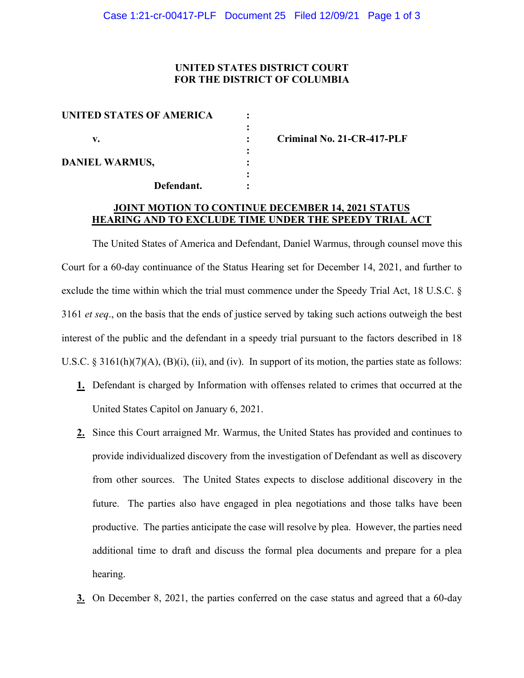## **UNITED STATES DISTRICT COURT FOR THE DISTRICT OF COLUMBIA**

| UNITED STATES OF AMERICA |  |
|--------------------------|--|
|                          |  |
| v.                       |  |
|                          |  |
| <b>DANIEL WARMUS,</b>    |  |
|                          |  |
| Defendant.               |  |

**v. : Criminal No. 21-CR-417-PLF**

## **JOINT MOTION TO CONTINUE DECEMBER 14, 2021 STATUS HEARING AND TO EXCLUDE TIME UNDER THE SPEEDY TRIAL ACT**

The United States of America and Defendant, Daniel Warmus, through counsel move this Court for a 60-day continuance of the Status Hearing set for December 14, 2021, and further to exclude the time within which the trial must commence under the Speedy Trial Act, 18 U.S.C. § 3161 *et seq*., on the basis that the ends of justice served by taking such actions outweigh the best interest of the public and the defendant in a speedy trial pursuant to the factors described in 18 U.S.C.  $\S 3161(h)(7)(A)$ ,  $(B)(i)$ ,  $(ii)$ , and  $(iv)$ . In support of its motion, the parties state as follows:

- **1.** Defendant is charged by Information with offenses related to crimes that occurred at the United States Capitol on January 6, 2021.
- **2.** Since this Court arraigned Mr. Warmus, the United States has provided and continues to provide individualized discovery from the investigation of Defendant as well as discovery from other sources. The United States expects to disclose additional discovery in the future. The parties also have engaged in plea negotiations and those talks have been productive. The parties anticipate the case will resolve by plea. However, the parties need additional time to draft and discuss the formal plea documents and prepare for a plea hearing.
- **3.** On December 8, 2021, the parties conferred on the case status and agreed that a 60-day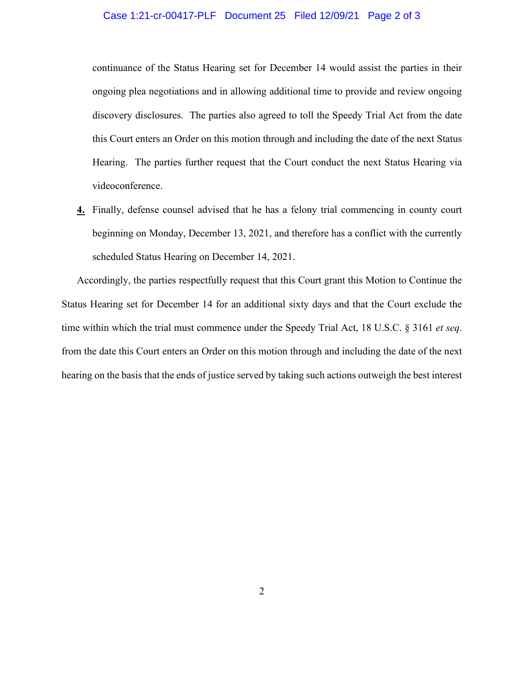## Case 1:21-cr-00417-PLF Document 25 Filed 12/09/21 Page 2 of 3

continuance of the Status Hearing set for December 14 would assist the parties in their ongoing plea negotiations and in allowing additional time to provide and review ongoing discovery disclosures. The parties also agreed to toll the Speedy Trial Act from the date this Court enters an Order on this motion through and including the date of the next Status Hearing. The parties further request that the Court conduct the next Status Hearing via videoconference.

**4.** Finally, defense counsel advised that he has a felony trial commencing in county court beginning on Monday, December 13, 2021, and therefore has a conflict with the currently scheduled Status Hearing on December 14, 2021.

Accordingly, the parties respectfully request that this Court grant this Motion to Continue the Status Hearing set for December 14 for an additional sixty days and that the Court exclude the time within which the trial must commence under the Speedy Trial Act, 18 U.S.C. § 3161 *et seq*. from the date this Court enters an Order on this motion through and including the date of the next hearing on the basis that the ends of justice served by taking such actions outweigh the best interest